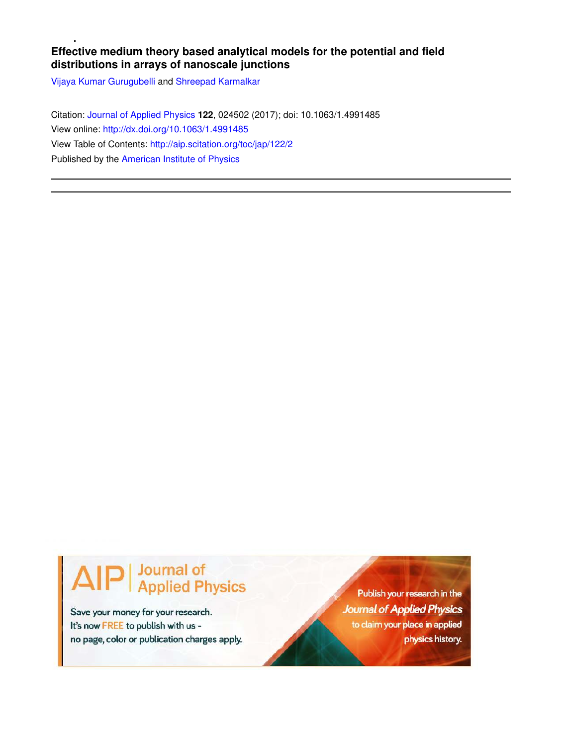# **Effective medium theory based analytical models for the potential and field distributions in arrays of nanoscale junctions**

Vijaya Kumar Gurugubelli and Shreepad Karmalkar

Citation: Journal of Applied Physics **122**, 024502 (2017); doi: 10.1063/1.4991485 View online: http://dx.doi.org/10.1063/1.4991485 View Table of Contents: http://aip.scitation.org/toc/jap/122/2 Published by the American Institute of Physics

# **Journal of<br>Applied Physics**

Save your money for your research. It's now FREE to publish with us no page, color or publication charges apply.

Publish your research in the **Journal of Applied Physics** to claim your place in applied physics history.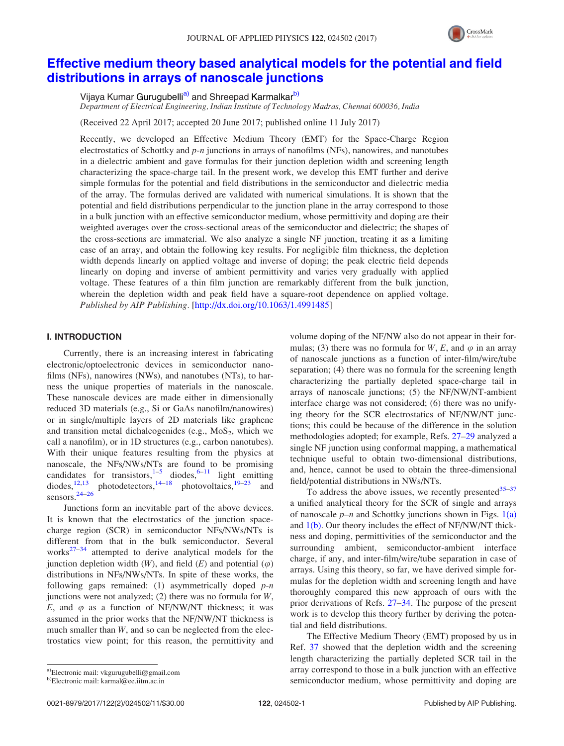

# Effective medium theory based analytical models for the potential and field distributions in arrays of nanoscale junctions

Vijaya Kumar Gurugubelli<sup>a)</sup> and Shreepad Karmalkar<sup>b)</sup>

Department of Electrical Engineering, Indian Institute of Technology Madras, Chennai 600036, India

(Received 22 April 2017; accepted 20 June 2017; published online 11 July 2017)

Recently, we developed an Effective Medium Theory (EMT) for the Space-Charge Region electrostatics of Schottky and  $p$ -n junctions in arrays of nanofilms (NFs), nanowires, and nanotubes in a dielectric ambient and gave formulas for their junction depletion width and screening length characterizing the space-charge tail. In the present work, we develop this EMT further and derive simple formulas for the potential and field distributions in the semiconductor and dielectric media of the array. The formulas derived are validated with numerical simulations. It is shown that the potential and field distributions perpendicular to the junction plane in the array correspond to those in a bulk junction with an effective semiconductor medium, whose permittivity and doping are their weighted averages over the cross-sectional areas of the semiconductor and dielectric; the shapes of the cross-sections are immaterial. We also analyze a single NF junction, treating it as a limiting case of an array, and obtain the following key results. For negligible film thickness, the depletion width depends linearly on applied voltage and inverse of doping; the peak electric field depends linearly on doping and inverse of ambient permittivity and varies very gradually with applied voltage. These features of a thin film junction are remarkably different from the bulk junction, wherein the depletion width and peak field have a square-root dependence on applied voltage. Published by AIP Publishing. [http://dx.doi.org/10.1063/1.4991485]

## I. INTRODUCTION

Currently, there is an increasing interest in fabricating electronic/optoelectronic devices in semiconductor nanofilms (NFs), nanowires (NWs), and nanotubes (NTs), to harness the unique properties of materials in the nanoscale. These nanoscale devices are made either in dimensionally reduced 3D materials (e.g., Si or GaAs nanofilm/nanowires) or in single/multiple layers of 2D materials like graphene and transition metal dichalcogenides (e.g.,  $MoS<sub>2</sub>$ , which we call a nanofilm), or in 1D structures (e.g., carbon nanotubes). With their unique features resulting from the physics at nanoscale, the NFs/NWs/NTs are found to be promising candidates for transistors,  $1-5$  diodes,  $6-11$  light emitting diodes, $12,13$  photodetectors,  $14-18$  photovoltaics,  $19-23$  and sensors. $24-26$ 

Junctions form an inevitable part of the above devices. It is known that the electrostatics of the junction spacecharge region (SCR) in semiconductor NFs/NWs/NTs is different from that in the bulk semiconductor. Several works $27-34$  attempted to derive analytical models for the junction depletion width  $(W)$ , and field  $(E)$  and potential  $(\varphi)$ distributions in NFs/NWs/NTs. In spite of these works, the following gaps remained: (1) asymmetrically doped  $p$ -n junctions were not analyzed;  $(2)$  there was no formula for W, E, and  $\varphi$  as a function of NF/NW/NT thickness; it was assumed in the prior works that the NF/NW/NT thickness is much smaller than W, and so can be neglected from the electrostatics view point; for this reason, the permittivity and volume doping of the NF/NW also do not appear in their formulas; (3) there was no formula for W, E, and  $\varphi$  in an array of nanoscale junctions as a function of inter-film/wire/tube separation; (4) there was no formula for the screening length characterizing the partially depleted space-charge tail in arrays of nanoscale junctions; (5) the NF/NW/NT-ambient interface charge was not considered; (6) there was no unifying theory for the SCR electrostatics of NF/NW/NT junctions; this could be because of the difference in the solution methodologies adopted; for example, Refs. 27–29 analyzed a single NF junction using conformal mapping, a mathematical technique useful to obtain two-dimensional distributions, and, hence, cannot be used to obtain the three-dimensional field/potential distributions in NWs/NTs.

To address the above issues, we recently presented  $35-37$ a unified analytical theory for the SCR of single and arrays of nanoscale  $p-n$  and Schottky junctions shown in Figs. 1(a) and  $1(b)$ . Our theory includes the effect of NF/NW/NT thickness and doping, permittivities of the semiconductor and the surrounding ambient, semiconductor-ambient interface charge, if any, and inter-film/wire/tube separation in case of arrays. Using this theory, so far, we have derived simple formulas for the depletion width and screening length and have thoroughly compared this new approach of ours with the prior derivations of Refs. 27–34. The purpose of the present work is to develop this theory further by deriving the potential and field distributions.

The Effective Medium Theory (EMT) proposed by us in Ref. 37 showed that the depletion width and the screening length characterizing the partially depleted SCR tail in the array correspond to those in a bulk junction with an effective semiconductor medium, whose permittivity and doping are

<sup>&</sup>lt;sup>a)</sup>Electronic mail: vkgurugubelli@gmail.com

b)Electronic mail: karmal@ee.iitm.ac.in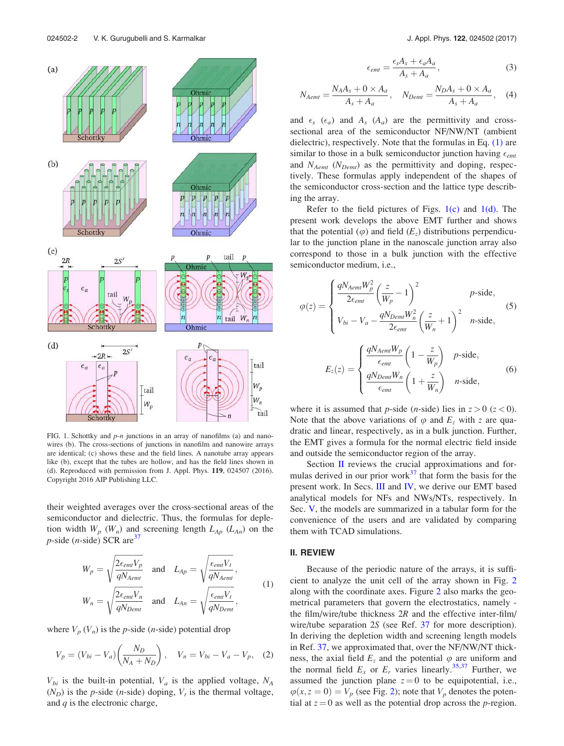

FIG. 1. Schottky and  $p$ -n junctions in an array of nanofilms (a) and nanowires (b). The cross-sections of junctions in nanofilm and nanowire arrays are identical; (c) shows these and the field lines. A nanotube array appears like (b), except that the tubes are hollow, and has the field lines shown in (d). Reproduced with permission from J. Appl. Phys. 119, 024507 (2016). Copyright 2016 AIP Publishing LLC.

their weighted averages over the cross-sectional areas of the semiconductor and dielectric. Thus, the formulas for depletion width  $W_p$  ( $W_n$ ) and screening length  $L_{Ap}$  ( $L_{An}$ ) on the  $p$ -side (*n*-side) SCR are<sup>37</sup>

$$
W_p = \sqrt{\frac{2\epsilon_{emt}V_p}{qN_{Aemt}}} \quad \text{and} \quad L_{Ap} = \sqrt{\frac{\epsilon_{emt}V_t}{qN_{Aemt}}},
$$
\n
$$
2\epsilon_{emt}V_r
$$
\n(1)

$$
W_n = \sqrt{\frac{2\epsilon_{emt}V_n}{qN_{Demt}}} \quad \text{and} \quad L_{An} = \sqrt{\frac{\epsilon_{emt}V_t}{qN_{Demt}}},
$$

where  $V_p(V_n)$  is the *p*-side (*n*-side) potential drop

$$
V_p = (V_{bi} - V_a) \left( \frac{N_D}{N_A + N_D} \right), \quad V_n = V_{bi} - V_a - V_p, \quad (2)
$$

 $V_{bi}$  is the built-in potential,  $V_a$  is the applied voltage,  $N_A$  $(N_D)$  is the *p*-side (*n*-side) doping,  $V_t$  is the thermal voltage, and  $q$  is the electronic charge,

$$
\epsilon_{emt} = \frac{\epsilon_s A_s + \epsilon_a A_a}{A_s + A_a},\tag{3}
$$

$$
N_{Aemt} = \frac{N_A A_s + 0 \times A_a}{A_s + A_a}, \quad N_{Demt} = \frac{N_D A_s + 0 \times A_a}{A_s + A_a}, \quad (4)
$$

and  $\epsilon_s$  ( $\epsilon_a$ ) and  $A_s$  ( $A_a$ ) are the permittivity and crosssectional area of the semiconductor NF/NW/NT (ambient dielectric), respectively. Note that the formulas in Eq. (1) are similar to those in a bulk semiconductor junction having  $\epsilon_{emt}$ and  $N_{Aemt}$  ( $N_{Demt}$ ) as the permittivity and doping, respectively. These formulas apply independent of the shapes of the semiconductor cross-section and the lattice type describing the array.

Refer to the field pictures of Figs.  $1(c)$  and  $1(d)$ . The present work develops the above EMT further and shows that the potential  $(\varphi)$  and field  $(E_z)$  distributions perpendicular to the junction plane in the nanoscale junction array also correspond to those in a bulk junction with the effective semiconductor medium, i.e.,

$$
\varphi(z) = \begin{cases}\n\frac{qN_{Aemt}W_p^2}{2\epsilon_{emt}} \left(\frac{z}{W_p} - 1\right)^2 & \text{p-side,} \\
V_{bi} - V_a - \frac{qN_{Demt}W_n^2}{2\epsilon_{emt}} \left(\frac{z}{W_n} + 1\right)^2 & n \text{-side,} \\
E_z(z) = \begin{cases}\n\frac{qN_{Aemt}W_p}{\epsilon_{emt}} \left(1 - \frac{z}{W_p}\right) & \text{p-side,} \\
\frac{qN_{Demt}W_n}{\epsilon_{emt}} \left(1 + \frac{z}{W_n}\right) & n \text{-side,} \\
\frac{qN_{Demt}W_n}{\epsilon_{emt}} \left(1 + \frac{z}{W_n}\right) & n \text{-side,}\n\end{cases}\n\tag{6}
$$

where it is assumed that *p*-side (*n*-side) lies in  $z > 0$  ( $z < 0$ ). Note that the above variations of  $\varphi$  and  $E_z$  with z are quadratic and linear, respectively, as in a bulk junction. Further, the EMT gives a formula for the normal electric field inside and outside the semiconductor region of the array.

Section II reviews the crucial approximations and formulas derived in our prior work $^{37}$  that form the basis for the present work. In Secs. III and IV, we derive our EMT based analytical models for NFs and NWs/NTs, respectively. In Sec. V, the models are summarized in a tabular form for the convenience of the users and are validated by comparing them with TCAD simulations.

## II. REVIEW

Because of the periodic nature of the arrays, it is sufficient to analyze the unit cell of the array shown in Fig. 2 along with the coordinate axes. Figure 2 also marks the geometrical parameters that govern the electrostatics, namely the film/wire/tube thickness  $2R$  and the effective inter-film/ wire/tube separation 2S (see Ref. 37 for more description). In deriving the depletion width and screening length models in Ref. 37, we approximated that, over the NF/NW/NT thickness, the axial field  $E_z$  and the potential  $\varphi$  are uniform and the normal field  $E_x$  or  $E_r$  varies linearly.<sup>35,37</sup> Further, we assumed the junction plane  $z = 0$  to be equipotential, i.e.,  $\varphi(x, z = 0) = V_p$  (see Fig. 2); note that  $V_p$  denotes the potential at  $z = 0$  as well as the potential drop across the *p*-region.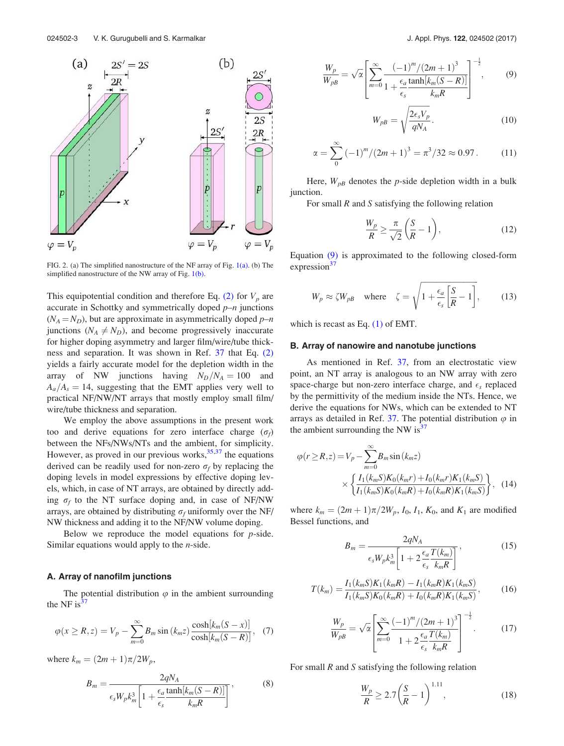

FIG. 2. (a) The simplified nanostructure of the NF array of Fig. 1(a). (b) The simplified nanostructure of the NW array of Fig. 1(b).

This equipotential condition and therefore Eq. (2) for  $V_p$  are accurate in Schottky and symmetrically doped  $p-n$  junctions  $(N_A = N_D)$ , but are approximate in asymmetrically doped  $p-n$ junctions ( $N_A \neq N_D$ ), and become progressively inaccurate for higher doping asymmetry and larger film/wire/tube thickness and separation. It was shown in Ref. 37 that Eq. (2) yields a fairly accurate model for the depletion width in the array of NW junctions having  $N_D/N_A = 100$  and  $A_a/A_s = 14$ , suggesting that the EMT applies very well to practical NF/NW/NT arrays that mostly employ small film/ wire/tube thickness and separation.

We employ the above assumptions in the present work too and derive equations for zero interface charge  $(\sigma_f)$ between the NFs/NWs/NTs and the ambient, for simplicity. However, as proved in our previous works,  $35,37$  the equations derived can be readily used for non-zero  $\sigma_f$  by replacing the doping levels in model expressions by effective doping levels, which, in case of NT arrays, are obtained by directly adding  $\sigma_f$  to the NT surface doping and, in case of NF/NW arrays, are obtained by distributing  $\sigma_f$  uniformly over the NF/ NW thickness and adding it to the NF/NW volume doping.

Below we reproduce the model equations for  $p$ -side. Similar equations would apply to the  $n$ -side.

#### A. Array of nanofilm junctions

The potential distribution  $\varphi$  in the ambient surrounding the NF is $^{37}$ 

$$
\varphi(x \ge R, z) = V_p - \sum_{m=0}^{\infty} B_m \sin(k_m z) \frac{\cosh[k_m(S - x)]}{\cosh[k_m(S - R)]}, \quad (7)
$$

where  $k_m = (2m + 1)\pi/2W_p$ ,

$$
B_m = \frac{2qN_A}{\epsilon_s W_p k_m^3 \left[1 + \frac{\epsilon_a}{\epsilon_s} \frac{\tanh[k_m(S-R)]}{k_m R}\right]},
$$
(8)

$$
\frac{W_p}{W_{pB}} = \sqrt{\alpha} \left[ \sum_{m=0}^{\infty} \frac{(-1)^m / (2m+1)^3}{1 + \frac{\epsilon_a}{\epsilon_s} \frac{\tanh[k_m(S-R)]}{k_m R}} \right]^{-\frac{1}{2}},\tag{9}
$$

$$
W_{pB} = \sqrt{\frac{2\epsilon_s V_p}{qN_A}}.\tag{10}
$$

$$
\alpha = \sum_{0}^{\infty} \left(-1\right)^{m} / \left(2m + 1\right)^{3} = \pi^{3} / 32 \approx 0.97. \tag{11}
$$

Here,  $W_{pB}$  denotes the p-side depletion width in a bulk junction.

For small  $R$  and  $S$  satisfying the following relation

$$
\frac{W_p}{R} \ge \frac{\pi}{\sqrt{2}} \left( \frac{S}{R} - 1 \right),\tag{12}
$$

Equation (9) is approximated to the following closed-form expression $3^7$ 

$$
W_p \approx \zeta W_{pB} \quad \text{where} \quad \zeta = \sqrt{1 + \frac{\epsilon_a}{\epsilon_s} \left[ \frac{S}{R} - 1 \right]},\tag{13}
$$

which is recast as Eq.  $(1)$  of EMT.

#### B. Array of nanowire and nanotube junctions

As mentioned in Ref. 37, from an electrostatic view point, an NT array is analogous to an NW array with zero space-charge but non-zero interface charge, and  $\epsilon_s$  replaced by the permittivity of the medium inside the NTs. Hence, we derive the equations for NWs, which can be extended to NT arrays as detailed in Ref. 37. The potential distribution  $\varphi$  in the ambient surrounding the NW is<sup>37</sup>

$$
\varphi(r \ge R, z) = V_p - \sum_{m=0}^{\infty} B_m \sin(k_m z)
$$

$$
\times \left\{ \frac{I_1(k_m S) K_0(k_m r) + I_0(k_m r) K_1(k_m S)}{I_1(k_m S) K_0(k_m R) + I_0(k_m R) K_1(k_m S)} \right\}, \quad (14)
$$

where  $k_m = (2m + 1)\pi/2W_p$ ,  $I_0$ ,  $I_1$ ,  $K_0$ , and  $K_1$  are modified Bessel functions, and

$$
B_m = \frac{2qN_A}{\epsilon_s W_p k_m^3 \left[1 + 2\frac{\epsilon_a}{\epsilon_s} \frac{T(k_m)}{k_m R}\right]},
$$
\n(15)

$$
T(k_m) = \frac{I_1(k_m S)K_1(k_m R) - I_1(k_m R)K_1(k_m S)}{I_1(k_m S)K_0(k_m R) + I_0(k_m R)K_1(k_m S)},
$$
(16)

$$
\frac{W_p}{W_{pB}} = \sqrt{\alpha} \left[ \sum_{m=0}^{\infty} \frac{(-1)^m / (2m+1)^3}{1 + 2 \frac{\epsilon_a}{\epsilon_s} \frac{T(k_m)}{k_m R}} \right]^{-\frac{1}{2}}.
$$
 (17)

For small  $R$  and  $S$  satisfying the following relation

$$
\frac{W_p}{R} \ge 2.7 \left(\frac{S}{R} - 1\right)^{1.11},\tag{18}
$$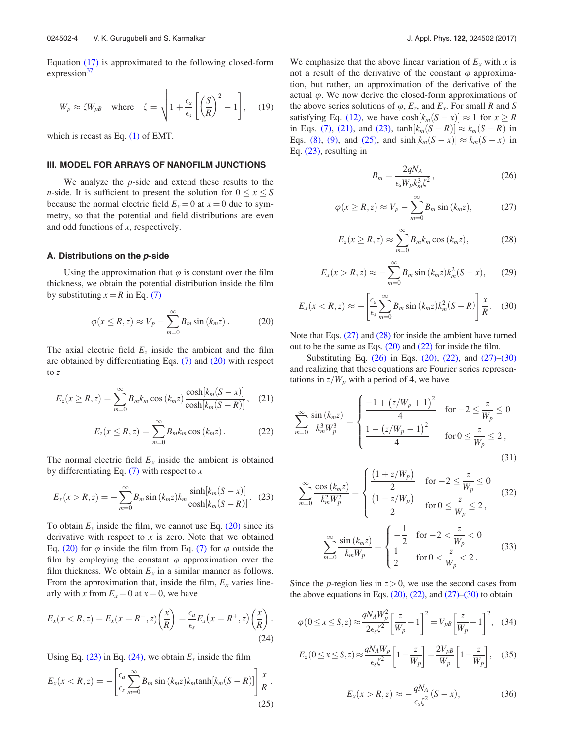Equation (17) is approximated to the following closed-form expression $37$ 

$$
W_p \approx \zeta W_{pB}
$$
 where  $\zeta = \sqrt{1 + \frac{\epsilon_a}{\epsilon_s} \left[ \left( \frac{S}{R} \right)^2 - 1 \right]}$ , (19)

which is recast as Eq. (1) of EMT.

#### III. MODEL FOR ARRAYS OF NANOFILM JUNCTIONS

We analyze the  $p$ -side and extend these results to the *n*-side. It is sufficient to present the solution for  $0 \le x \le S$ because the normal electric field  $E_x = 0$  at  $x = 0$  due to symmetry, so that the potential and field distributions are even and odd functions of x, respectively.

#### A. Distributions on the  $p$ -side

Using the approximation that  $\varphi$  is constant over the film thickness, we obtain the potential distribution inside the film by substituting  $x = R$  in Eq. (7)

$$
\varphi(x \le R, z) \approx V_p - \sum_{m=0}^{\infty} B_m \sin(k_m z). \tag{20}
$$

The axial electric field  $E_z$  inside the ambient and the film are obtained by differentiating Eqs.  $(7)$  and  $(20)$  with respect to z

$$
E_z(x \ge R, z) = \sum_{m=0}^{\infty} B_m k_m \cos(k_m z) \frac{\cosh[k_m(S - x)]}{\cosh[k_m(S - R)]}, \quad (21)
$$

$$
E_z(x \le R, z) = \sum_{m=0}^{\infty} B_m k_m \cos(k_m z). \tag{22}
$$

The normal electric field  $E_x$  inside the ambient is obtained by differentiating Eq.  $(7)$  with respect to x

$$
E_x(x > R, z) = -\sum_{m=0}^{\infty} B_m \sin (k_m z) k_m \frac{\sinh[k_m(S - x)]}{\cosh[k_m(S - R)]}. \quad (23)
$$

To obtain  $E_x$  inside the film, we cannot use Eq. (20) since its derivative with respect to  $x$  is zero. Note that we obtained Eq. (20) for  $\varphi$  inside the film from Eq. (7) for  $\varphi$  outside the film by employing the constant  $\varphi$  approximation over the film thickness. We obtain  $E_x$  in a similar manner as follows. From the approximation that, inside the film,  $E_x$  varies linearly with x from  $E_x = 0$  at  $x = 0$ , we have

$$
E_x(x < R, z) = E_x(x = R^-, z) \left(\frac{x}{R}\right) = \frac{\epsilon_a}{\epsilon_s} E_x(x = R^+, z) \left(\frac{x}{R}\right).
$$
\n(24)

Using Eq. (23) in Eq. (24), we obtain  $E_x$  inside the film

$$
E_x(x < R, z) = -\left[\frac{\epsilon_a}{\epsilon_s} \sum_{m=0}^{\infty} B_m \sin(k_m z) k_m \tanh[k_m(S - R)]\right] \frac{x}{R}.
$$
\n(25)

We emphasize that the above linear variation of  $E_x$  with x is not a result of the derivative of the constant  $\varphi$  approximation, but rather, an approximation of the derivative of the actual  $\varphi$ . We now derive the closed-form approximations of the above series solutions of  $\varphi$ ,  $E_z$ , and  $E_x$ . For small R and S satisfying Eq. (12), we have  $\cosh[k_m(S - x)] \approx 1$  for  $x \ge R$ in Eqs. (7), (21), and (23),  $\tanh[k_m(S - R)] \approx k_m(S - R)$  in Eqs. (8), (9), and (25), and  $sinh[k_m(S - x)] \approx k_m(S - x)$  in Eq. (23), resulting in

$$
B_m = \frac{2qN_A}{\epsilon_s W_p k_m^3 \zeta^2},\tag{26}
$$

$$
\varphi(x \ge R, z) \approx V_p - \sum_{m=0}^{\infty} B_m \sin(k_m z), \tag{27}
$$

$$
E_z(x \ge R, z) \approx \sum_{m=0}^{\infty} B_m k_m \cos(k_m z), \qquad (28)
$$

$$
E_x(x > R, z) \approx -\sum_{m=0}^{\infty} B_m \sin (k_m z) k_m^2 (S - x), \qquad (29)
$$

$$
E_x(x < R, z) \approx -\left[\frac{\epsilon_a}{\epsilon_s} \sum_{m=0}^{\infty} B_m \sin\left(k_m z\right) k_m^2 (S - R)\right] \frac{x}{R}.\tag{30}
$$

Note that Eqs. (27) and (28) for inside the ambient have turned out to be the same as Eqs. (20) and (22) for inside the film.

Substituting Eq. (26) in Eqs. (20), (22), and (27)–(30) and realizing that these equations are Fourier series representations in  $z/W_p$  with a period of 4, we have

$$
\sum_{m=0}^{\infty} \frac{\sin (k_m z)}{k_m^3 W_p^3} = \begin{cases} \frac{-1 + (z/W_p + 1)^2}{4} & \text{for } -2 \le \frac{z}{W_p} \le 0\\ \frac{1 - (z/W_p - 1)^2}{4} & \text{for } 0 \le \frac{z}{W_p} \le 2, \end{cases}
$$
(31)

$$
\sum_{m=0}^{\infty} \frac{\cos(k_m z)}{k_m^2 W_p^2} = \begin{cases} \frac{(1+z/W_p)}{2} & \text{for } -2 \le \frac{z}{W_p} \le 0\\ \frac{(1-z/W_p)}{2} & \text{for } 0 \le \frac{z}{W_p} \le 2, \end{cases}
$$
(32)

$$
\sum_{m=0}^{\infty} \frac{\sin (k_m z)}{k_m W_p} = \begin{cases} -\frac{1}{2} & \text{for } -2 < \frac{z}{W_p} < 0\\ \frac{1}{2} & \text{for } 0 < \frac{z}{W_p} < 2 \,. \end{cases}
$$
(33)

Since the *p*-region lies in  $z > 0$ , we use the second cases from the above equations in Eqs.  $(20)$ ,  $(22)$ , and  $(27)$ – $(30)$  to obtain

$$
\varphi(0 \le x \le S, z) \approx \frac{qN_A W_p^2}{2\epsilon_s \zeta^2} \left[\frac{z}{W_p} - 1\right]^2 = V_{pB} \left[\frac{z}{W_p} - 1\right]^2, \quad (34)
$$

$$
E_z(0 \le x \le S, z) \approx \frac{qN_A W_p}{\epsilon_s \zeta^2} \left[1 - \frac{z}{W_p}\right] = \frac{2V_{pB}}{W_p} \left[1 - \frac{z}{W_p}\right], \quad (35)
$$

$$
E_x(x > R, z) \approx -\frac{qN_A}{\epsilon_s \zeta^2} (S - x), \tag{36}
$$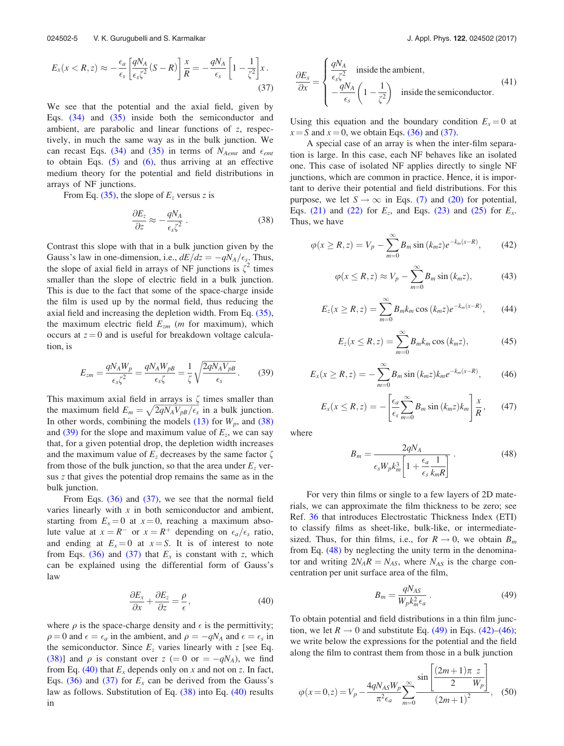$$
E_x(x < R, z) \approx -\frac{\epsilon_a}{\epsilon_s} \left[ \frac{qN_A}{\epsilon_s \zeta^2} (S - R) \right] \frac{x}{R} = -\frac{qN_A}{\epsilon_s} \left[ 1 - \frac{1}{\zeta^2} \right] x \,.
$$
\n(37)

We see that the potential and the axial field, given by Eqs. (34) and (35) inside both the semiconductor and ambient, are parabolic and linear functions of z, respectively, in much the same way as in the bulk junction. We can recast Eqs. (34) and (35) in terms of  $N_{Aemt}$  and  $\epsilon_{emt}$ to obtain Eqs.  $(5)$  and  $(6)$ , thus arriving at an effective medium theory for the potential and field distributions in arrays of NF junctions.

From Eq. (35), the slope of  $E<sub>z</sub>$  versus z is

$$
\frac{\partial E_z}{\partial z} \approx -\frac{qN_A}{\epsilon_s \zeta^2} \,. \tag{38}
$$

Contrast this slope with that in a bulk junction given by the Gauss's law in one-dimension, i.e.,  $dE/dz = -qN_A/\epsilon_s$ . Thus, the slope of axial field in arrays of NF junctions is  $\zeta^2$  times smaller than the slope of electric field in a bulk junction. This is due to the fact that some of the space-charge inside the film is used up by the normal field, thus reducing the axial field and increasing the depletion width. From Eq. (35), the maximum electric field  $E_{zm}$  (*m* for maximum), which occurs at  $z = 0$  and is useful for breakdown voltage calculation, is

$$
E_{zm} = \frac{qN_AW_p}{\epsilon_s\zeta^2} = \frac{qN_AW_{pB}}{\epsilon_s\zeta} = \frac{1}{\zeta}\sqrt{\frac{2qN_AV_{pB}}{\epsilon_s}}.
$$
 (39)

This maximum axial field in arrays is  $\zeta$  times smaller than the maximum field  $E_m = \sqrt{2qN_AV_{pB}/\epsilon_s}$  in a bulk junction. In other words, combining the models  $(13)$  for  $W_p$ , and  $(38)$ and (39) for the slope and maximum value of  $E_z$ , we can say that, for a given potential drop, the depletion width increases and the maximum value of  $E<sub>z</sub>$  decreases by the same factor  $\zeta$ from those of the bulk junction, so that the area under  $E<sub>z</sub>$  versus z that gives the potential drop remains the same as in the bulk junction.

From Eqs.  $(36)$  and  $(37)$ , we see that the normal field varies linearly with  $x$  in both semiconductor and ambient, starting from  $E_x = 0$  at  $x = 0$ , reaching a maximum absolute value at  $x = R^-$  or  $x = R^+$  depending on  $\epsilon_a/\epsilon_s$  ratio, and ending at  $E_x = 0$  at  $x = S$ . It is of interest to note from Eqs. (36) and (37) that  $E_x$  is constant with z, which can be explained using the differential form of Gauss's law

$$
\frac{\partial E_x}{\partial x} + \frac{\partial E_z}{\partial z} = \frac{\rho}{\epsilon},\tag{40}
$$

where  $\rho$  is the space-charge density and  $\epsilon$  is the permittivity;  $\rho = 0$  and  $\epsilon = \epsilon_a$  in the ambient, and  $\rho = -qN_A$  and  $\epsilon = \epsilon_s$  in the semiconductor. Since  $E_z$  varies linearly with z [see Eq. (38)] and  $\rho$  is constant over  $z (= 0 \text{ or } = -qN_A)$ , we find from Eq. (40) that  $E_x$  depends only on x and not on z. In fact, Eqs. (36) and (37) for  $E_x$  can be derived from the Gauss's law as follows. Substitution of Eq. (38) into Eq. (40) results in

$$
\frac{\partial E_x}{\partial x} = \begin{cases} \frac{qN_A}{\epsilon_s \zeta^2} & \text{inside the ambient,} \\ -\frac{qN_A}{\epsilon_s} \left(1 - \frac{1}{\zeta^2}\right) & \text{inside the semiconductor.} \end{cases}
$$
(41)

Using this equation and the boundary condition  $E_r = 0$  at  $x = S$  and  $x = 0$ , we obtain Eqs. (36) and (37).

A special case of an array is when the inter-film separation is large. In this case, each NF behaves like an isolated one. This case of isolated NF applies directly to single NF junctions, which are common in practice. Hence, it is important to derive their potential and field distributions. For this purpose, we let  $S \to \infty$  in Eqs. (7) and (20) for potential, Eqs. (21) and (22) for  $E_z$ , and Eqs. (23) and (25) for  $E_x$ . Thus, we have

$$
\varphi(x \ge R, z) = V_p - \sum_{m=0}^{\infty} B_m \sin(k_m z) e^{-k_m(x - R)}, \qquad (42)
$$

$$
\varphi(x \le R, z) \approx V_p - \sum_{m=0}^{\infty} B_m \sin(k_m z), \tag{43}
$$

$$
E_z(x \ge R, z) = \sum_{m=0}^{\infty} B_m k_m \cos (k_m z) e^{-k_m(x - R)}, \qquad (44)
$$

$$
E_z(x \le R, z) = \sum_{m=0}^{\infty} B_m k_m \cos(k_m z), \qquad (45)
$$

$$
E_x(x \ge R, z) = -\sum_{m=0}^{\infty} B_m \sin (k_m z) k_m e^{-k_m(x - R)}, \qquad (46)
$$

$$
E_x(x \le R, z) = -\left[\frac{\epsilon_a}{\epsilon_s} \sum_{m=0}^{\infty} B_m \sin\left(k_m z\right) k_m\right] \frac{x}{R},\qquad(47)
$$

where

$$
B_m = \frac{2qN_A}{\epsilon_s W_p k_m^3 \left[1 + \frac{\epsilon_a}{\epsilon_s} \frac{1}{k_m R}\right]} \,. \tag{48}
$$

For very thin films or single to a few layers of 2D materials, we can approximate the film thickness to be zero; see Ref. 36 that introduces Electrostatic Thickness Index (ETI) to classify films as sheet-like, bulk-like, or intermediatesized. Thus, for thin films, i.e., for  $R \rightarrow 0$ , we obtain  $B_m$ from Eq. (48) by neglecting the unity term in the denominator and writing  $2N_A R = N_{AS}$ , where  $N_{AS}$  is the charge concentration per unit surface area of the film,

$$
B_m = \frac{qN_{AS}}{W_p k_m^2 \epsilon_a} \,. \tag{49}
$$

To obtain potential and field distributions in a thin film junction, we let  $R \rightarrow 0$  and substitute Eq. (49) in Eqs. (42)–(46); we write below the expressions for the potential and the field along the film to contrast them from those in a bulk junction

$$
\varphi(x=0,z) = V_p - \frac{4qN_{AS}W_p}{\pi^2 \epsilon_a} \sum_{m=0}^{\infty} \frac{\sin\left[\frac{(2m+1)\pi z}{2W_p}\right]}{(2m+1)^2},
$$
 (50)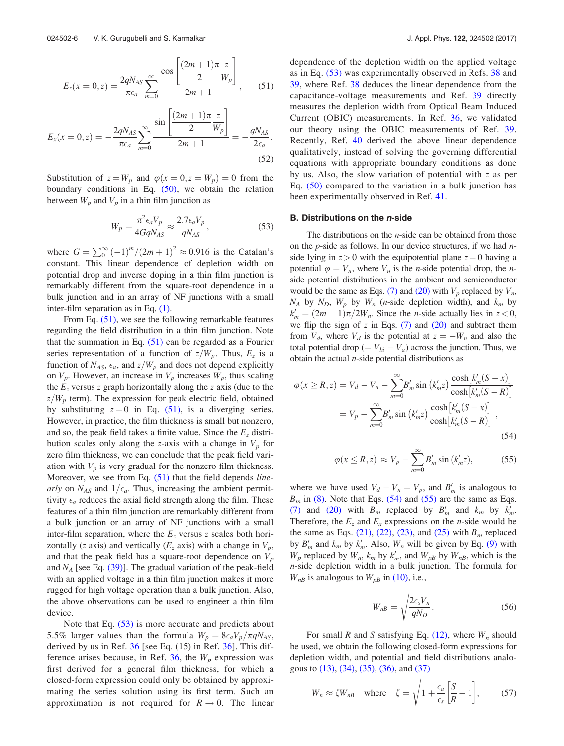$$
E_z(x=0, z) = \frac{2qN_{AS}}{\pi\epsilon_a} \sum_{m=0}^{\infty} \frac{\cos\left[\frac{(2m+1)\pi z}{2W_p}\right]}{2m+1},
$$
 (51)

$$
E_x(x=0, z) = -\frac{2qN_{AS}}{\pi\epsilon_a} \sum_{m=0}^{\infty} \frac{\sin\left[\frac{(2m+1)\pi z}{2} \frac{z}{W_p}\right]}{2m+1} = -\frac{qN_{AS}}{2\epsilon_a}.
$$
\n(52)

Substitution of  $z = W_p$  and  $\varphi(x = 0, z = W_p) = 0$  from the boundary conditions in Eq.  $(50)$ , we obtain the relation between  $W_p$  and  $V_p$  in a thin film junction as

$$
W_p = \frac{\pi^2 \epsilon_a V_p}{4GqN_{AS}} \approx \frac{2.7 \epsilon_a V_p}{qN_{AS}},
$$
\n(53)

where  $G = \sum_{0}^{\infty} (-1)^{m} / (2m + 1)^{2} \approx 0.916$  is the Catalan's constant. This linear dependence of depletion width on potential drop and inverse doping in a thin film junction is remarkably different from the square-root dependence in a bulk junction and in an array of NF junctions with a small inter-film separation as in Eq. (1).

From Eq. (51), we see the following remarkable features regarding the field distribution in a thin film junction. Note that the summation in Eq.  $(51)$  can be regarded as a Fourier series representation of a function of  $z/W_p$ . Thus,  $E_z$  is a function of  $N_{AS}$ ,  $\epsilon_a$ , and  $z/W_p$  and does not depend explicitly on  $V_p$ . However, an increase in  $V_p$  increases  $W_p$ , thus scaling the  $E<sub>z</sub>$  versus z graph horizontally along the z axis (due to the  $z/W_p$  term). The expression for peak electric field, obtained by substituting  $z = 0$  in Eq. (51), is a diverging series. However, in practice, the film thickness is small but nonzero, and so, the peak field takes a finite value. Since the  $E<sub>z</sub>$  distribution scales only along the z-axis with a change in  $V_p$  for zero film thickness, we can conclude that the peak field variation with  $V_p$  is very gradual for the nonzero film thickness. Moreover, we see from Eq. (51) that the field depends linearly on  $N_{AS}$  and  $1/\epsilon_a$ . Thus, increasing the ambient permittivity  $\epsilon_a$  reduces the axial field strength along the film. These features of a thin film junction are remarkably different from a bulk junction or an array of NF junctions with a small inter-film separation, where the  $E<sub>z</sub>$  versus z scales both horizontally (*z* axis) and vertically ( $E_z$  axis) with a change in  $V_p$ , and that the peak field has a square-root dependence on  $V_p$ and  $N_A$  [see Eq. (39)]. The gradual variation of the peak-field with an applied voltage in a thin film junction makes it more rugged for high voltage operation than a bulk junction. Also, the above observations can be used to engineer a thin film device.

Note that Eq. (53) is more accurate and predicts about 5.5% larger values than the formula  $W_p = 8\epsilon_a V_p / \pi q N_{AS}$ , derived by us in Ref. 36 [see Eq. (15) in Ref. 36]. This difference arises because, in Ref. 36, the  $W_p$  expression was first derived for a general film thickness, for which a closed-form expression could only be obtained by approximating the series solution using its first term. Such an approximation is not required for  $R \rightarrow 0$ . The linear dependence of the depletion width on the applied voltage as in Eq. (53) was experimentally observed in Refs. 38 and 39, where Ref. 38 deduces the linear dependence from the capacitance-voltage measurements and Ref. 39 directly measures the depletion width from Optical Beam Induced Current (OBIC) measurements. In Ref. 36, we validated our theory using the OBIC measurements of Ref. 39. Recently, Ref. 40 derived the above linear dependence qualitatively, instead of solving the governing differential equations with appropriate boundary conditions as done by us. Also, the slow variation of potential with z as per Eq. (50) compared to the variation in a bulk junction has been experimentally observed in Ref. 41.

#### B. Distributions on the *n*-side

The distributions on the  $n$ -side can be obtained from those on the  $p$ -side as follows. In our device structures, if we had  $n$ side lying in  $z > 0$  with the equipotential plane  $z = 0$  having a potential  $\varphi = V_n$ , where  $V_n$  is the *n*-side potential drop, the *n*side potential distributions in the ambient and semiconductor would be the same as Eqs. (7) and (20) with  $V_p$  replaced by  $V_n$ ,  $N_A$  by  $N_D$ ,  $W_p$  by  $W_n$  (*n*-side depletion width), and  $k_m$  by  $k'_m = (2m + 1)\pi/2W_n$ . Since the *n*-side actually lies in  $z < 0$ , we flip the sign of z in Eqs.  $(7)$  and  $(20)$  and subtract them from  $V_d$ , where  $V_d$  is the potential at  $z = -W_n$  and also the total potential drop ( $= V_{bi} - V_a$ ) across the junction. Thus, we obtain the actual  $n$ -side potential distributions as

$$
\varphi(x \ge R, z) = V_d - V_n - \sum_{m=0}^{\infty} B'_m \sin(k'_m z) \frac{\cosh[k'_m(S - x)]}{\cosh[k'_m(S - R)]}
$$

$$
= V_p - \sum_{m=0}^{\infty} B'_m \sin(k'_m z) \frac{\cosh[k'_m(S - x)]}{\cosh[k'_m(S - R)]},
$$
(54)

$$
\varphi(x \le R, z) \approx V_p - \sum_{m=0}^{\infty} B'_m \sin(k'_m z), \tag{55}
$$

where we have used  $V_d - V_n = V_p$ , and  $B'_m$  is analogous to  $B_m$  in (8). Note that Eqs. (54) and (55) are the same as Eqs. (7) and (20) with  $B_m$  replaced by  $B'_m$  and  $k_m$  by  $k'_m$ . Therefore, the  $E_z$  and  $E_x$  expressions on the *n*-side would be the same as Eqs. (21), (22), (23), and (25) with  $B<sub>m</sub>$  replaced by  $B'_m$  and  $k_m$  by  $k'_m$ . Also,  $W_n$  will be given by Eq. (9) with  $W_p$  replaced by  $W_n$ ,  $k_m$  by  $k'_m$ , and  $W_{pB}$  by  $W_{nB}$ , which is the n-side depletion width in a bulk junction. The formula for  $W_{nB}$  is analogous to  $W_{pB}$  in (10), i.e.,

$$
W_{nB} = \sqrt{\frac{2\epsilon_s V_n}{qN_D}}.\t(56)
$$

For small R and S satisfying Eq.  $(12)$ , where  $W_n$  should be used, we obtain the following closed-form expressions for depletion width, and potential and field distributions analogous to (13), (34), (35), (36), and (37)

$$
W_n \approx \zeta W_{nB} \quad \text{where} \quad \zeta = \sqrt{1 + \frac{\epsilon_a}{\epsilon_s} \left[ \frac{S}{R} - 1 \right]},\tag{57}
$$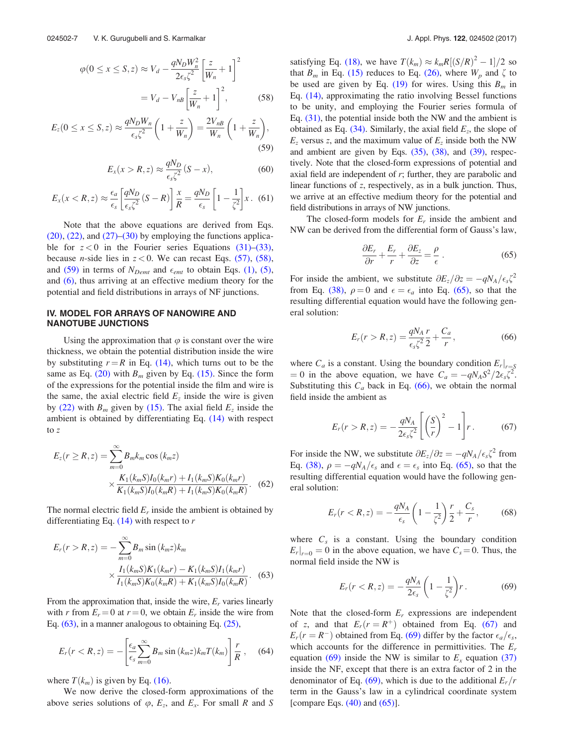$$
\varphi(0 \le x \le S, z) \approx V_d - \frac{qN_D W_n^2}{2\epsilon_s \zeta^2} \left[\frac{z}{W_n} + 1\right]^2
$$

$$
= V_d - V_{nB} \left[\frac{z}{W_n} + 1\right]^2, \tag{58}
$$

$$
E_z(0 \le x \le S, z) \approx \frac{qN_D W_n}{\epsilon_s \zeta^2} \left(1 + \frac{z}{W_n}\right) = \frac{2V_{nB}}{W_n} \left(1 + \frac{z}{W_n}\right),\tag{59}
$$

$$
E_x(x > R, z) \approx \frac{qN_D}{\epsilon_s \zeta^2} (S - x), \tag{60}
$$

$$
E_x(x < R, z) \approx \frac{\epsilon_a}{\epsilon_s} \left[ \frac{qN_D}{\epsilon_s \zeta^2} (S - R) \right] \frac{x}{R} = \frac{qN_D}{\epsilon_s} \left[ 1 - \frac{1}{\zeta^2} \right] x \tag{61}
$$

Note that the above equations are derived from Eqs.  $(20)$ ,  $(22)$ , and  $(27)$ – $(30)$  by employing the functions applicable for  $z < 0$  in the Fourier series Equations (31)–(33), because *n*-side lies in  $z < 0$ . We can recast Eqs. (57), (58), and (59) in terms of  $N_{Demt}$  and  $\epsilon_{emt}$  to obtain Eqs. (1), (5), and (6), thus arriving at an effective medium theory for the potential and field distributions in arrays of NF junctions.

#### IV. MODEL FOR ARRAYS OF NANOWIRE AND NANOTUBE JUNCTIONS

Using the approximation that  $\varphi$  is constant over the wire thickness, we obtain the potential distribution inside the wire by substituting  $r = R$  in Eq. (14), which turns out to be the same as Eq. (20) with  $B_m$  given by Eq. (15). Since the form of the expressions for the potential inside the film and wire is the same, the axial electric field  $E<sub>z</sub>$  inside the wire is given by (22) with  $B_m$  given by (15). The axial field  $E_z$  inside the ambient is obtained by differentiating Eq. (14) with respect to z

$$
E_z(r \ge R, z) = \sum_{m=0}^{\infty} B_m k_m \cos(k_m z)
$$
  
 
$$
\times \frac{K_1(k_m S) I_0(k_m r) + I_1(k_m S) K_0(k_m r)}{K_1(k_m S) I_0(k_m R) + I_1(k_m S) K_0(k_m R)}.
$$
 (62)

The normal electric field  $E_r$  inside the ambient is obtained by differentiating Eq.  $(14)$  with respect to r

$$
E_r(r > R, z) = -\sum_{m=0}^{\infty} B_m \sin(k_m z) k_m
$$
  
 
$$
\times \frac{I_1(k_m S) K_1(k_m r) - K_1(k_m S) I_1(k_m r)}{I_1(k_m S) K_0(k_m R) + K_1(k_m S) I_0(k_m R)}.
$$
 (63)

From the approximation that, inside the wire,  $E_r$  varies linearly with r from  $E_r = 0$  at  $r = 0$ , we obtain  $E_r$  inside the wire from Eq. (63), in a manner analogous to obtaining Eq. (25),

$$
E_r(r < R, z) = -\left[\frac{\epsilon_a}{\epsilon_s} \sum_{m=0}^{\infty} B_m \sin\left(k_m z\right) k_m T(k_m)\right] \frac{r}{R}, \quad (64)
$$

where  $T(k_m)$  is given by Eq. (16).

We now derive the closed-form approximations of the above series solutions of  $\varphi$ ,  $E_z$ , and  $E_x$ . For small R and S

satisfying Eq. (18), we have  $T(k_m) \approx k_m R[(S/R)^2 - 1]/2$  so that  $B_m$  in Eq. (15) reduces to Eq. (26), where  $W_p$  and  $\zeta$  to be used are given by Eq. (19) for wires. Using this  $B_m$  in Eq. (14), approximating the ratio involving Bessel functions to be unity, and employing the Fourier series formula of Eq. (31), the potential inside both the NW and the ambient is obtained as Eq.  $(34)$ . Similarly, the axial field  $E_z$ , the slope of  $E_z$  versus z, and the maximum value of  $E_z$  inside both the NW and ambient are given by Eqs. (35), (38), and (39), respectively. Note that the closed-form expressions of potential and axial field are independent of  $r$ ; further, they are parabolic and linear functions of z, respectively, as in a bulk junction. Thus, we arrive at an effective medium theory for the potential and field distributions in arrays of NW junctions.

The closed-form models for  $E_r$  inside the ambient and NW can be derived from the differential form of Gauss's law,

$$
\frac{\partial E_r}{\partial r} + \frac{E_r}{r} + \frac{\partial E_z}{\partial z} = \frac{\rho}{\epsilon} \,. \tag{65}
$$

For inside the ambient, we substitute  $\partial E_z / \partial z = -qN_A / \epsilon_s \zeta^2$ from Eq. (38),  $\rho = 0$  and  $\epsilon = \epsilon_a$  into Eq. (65), so that the resulting differential equation would have the following general solution:

$$
E_r(r > R, z) = \frac{qN_A r}{\epsilon_s \zeta^2} \frac{r}{2} + \frac{C_a}{r},
$$
\n(66)

where  $C_a$  is a constant. Using the boundary condition  $E_r|_{r=S_a}$ = 0 in the above equation, we have  $C_a = -qN_A S^2/2\epsilon_s \zeta^2$ . Substituting this  $C_a$  back in Eq. (66), we obtain the normal field inside the ambient as

$$
E_r(r > R, z) = -\frac{qN_A}{2\epsilon_s \zeta^2} \left[ \left( \frac{S}{r} \right)^2 - 1 \right] r \,. \tag{67}
$$

For inside the NW, we substitute  $\partial E_z / \partial z = -qN_A / \epsilon_s \zeta^2$  from Eq. (38),  $\rho = -qN_A/\epsilon_s$  and  $\epsilon = \epsilon_s$  into Eq. (65), so that the resulting differential equation would have the following general solution:

$$
E_r(r < R, z) = -\frac{qN_A}{\epsilon_s} \left(1 - \frac{1}{\zeta^2}\right) \frac{r}{2} + \frac{C_s}{r},\tag{68}
$$

where  $C_s$  is a constant. Using the boundary condition  $\left.E_r\right|_{r=0} = 0$  in the above equation, we have  $C_s = 0$ . Thus, the normal field inside the NW is

$$
E_r(r < R, z) = -\frac{qN_A}{2\epsilon_s} \left(1 - \frac{1}{\zeta^2}\right) r \,. \tag{69}
$$

Note that the closed-form  $E_r$  expressions are independent of z, and that  $E_r(r = R^+)$  obtained from Eq. (67) and  $E_r(r = R^-)$  obtained from Eq. (69) differ by the factor  $\epsilon_a/\epsilon_s$ , which accounts for the difference in permittivities. The  $E_r$ equation (69) inside the NW is similar to  $E_x$  equation (37) inside the NF, except that there is an extra factor of 2 in the denominator of Eq. (69), which is due to the additional  $E_r/r$ term in the Gauss's law in a cylindrical coordinate system [compare Eqs.  $(40)$  and  $(65)$ ].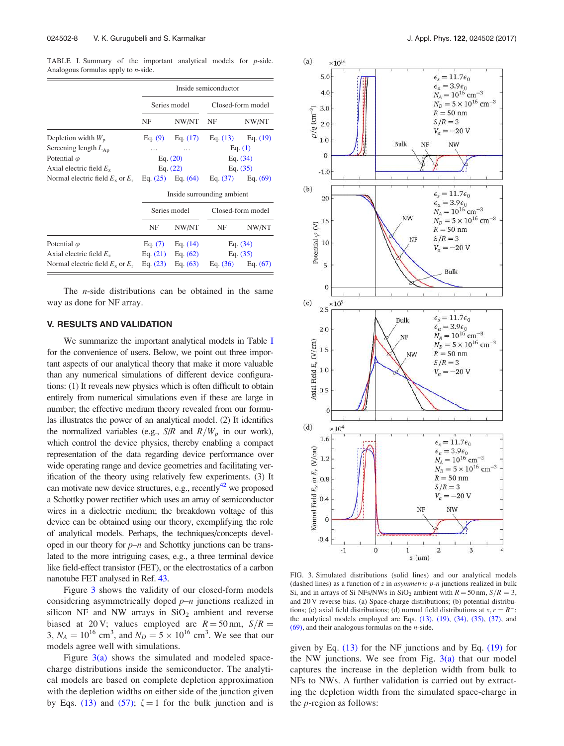TABLE I. Summary of the important analytical models for p-side. Analogous formulas apply to n-side.

|                                      | Inside semiconductor       |                       |                   |                       |
|--------------------------------------|----------------------------|-----------------------|-------------------|-----------------------|
|                                      | Series model               |                       | Closed-form model |                       |
|                                      | NF                         | NW/NT                 | NF                | NW/NT                 |
| Depletion width $W_p$                |                            | Eq. $(9)$ Eq. $(17)$  |                   | Eq. $(13)$ Eq. $(19)$ |
| Screening length $L_{\rm Ap}$        |                            |                       | Eq. $(1)$         |                       |
| Potential $\varphi$                  | Eq. $(20)$                 |                       | Eq. (34)          |                       |
| Axial electric field $Ez$            | Eq. $(22)$                 |                       | Eq. $(35)$        |                       |
| Normal electric field $E_x$ or $E_r$ |                            | Eq. $(25)$ Eq. $(64)$ |                   | Eq. $(37)$ Eq. $(69)$ |
|                                      | Inside surrounding ambient |                       |                   |                       |
|                                      | Series model               |                       | Closed-form model |                       |
|                                      | NF                         | NW/NT                 | NF                | NW/NT                 |
| Potential $\varphi$                  | Eq. $(7)$                  | Eq. $(14)$            | Eq. $(34)$        |                       |
| Axial electric field $E_z$           | Eq. $(21)$                 | Eq. $(62)$            | Eq. $(35)$        |                       |
| Normal electric field $E_x$ or $E_r$ | Eq. $(23)$                 | Eq. $(63)$            |                   | Eq. $(36)$ Eq. $(67)$ |

The n-side distributions can be obtained in the same way as done for NF array.

## V. RESULTS AND VALIDATION

We summarize the important analytical models in Table I for the convenience of users. Below, we point out three important aspects of our analytical theory that make it more valuable than any numerical simulations of different device configurations: (1) It reveals new physics which is often difficult to obtain entirely from numerical simulations even if these are large in number; the effective medium theory revealed from our formulas illustrates the power of an analytical model. (2) It identifies the normalized variables (e.g.,  $S/R$  and  $R/W_p$  in our work), which control the device physics, thereby enabling a compact representation of the data regarding device performance over wide operating range and device geometries and facilitating verification of the theory using relatively few experiments. (3) It can motivate new device structures, e.g., recently<sup>42</sup> we proposed a Schottky power rectifier which uses an array of semiconductor wires in a dielectric medium; the breakdown voltage of this device can be obtained using our theory, exemplifying the role of analytical models. Perhaps, the techniques/concepts developed in our theory for  $p-n$  and Schottky junctions can be translated to the more intriguing cases, e.g., a three terminal device like field-effect transistor (FET), or the electrostatics of a carbon nanotube FET analysed in Ref. 43.

Figure 3 shows the validity of our closed-form models considering asymmetrically doped  $p-n$  junctions realized in silicon NF and NW arrays in  $SiO<sub>2</sub>$  ambient and reverse biased at 20 V; values employed are  $R = 50$  nm,  $S/R =$  $3, N_A = 10^{16} \text{ cm}^3$ , and  $N_D = 5 \times 10^{16} \text{ cm}^3$ . We see that our models agree well with simulations.

Figure  $3(a)$  shows the simulated and modeled spacecharge distributions inside the semiconductor. The analytical models are based on complete depletion approximation with the depletion widths on either side of the junction given by Eqs. (13) and (57);  $\zeta = 1$  for the bulk junction and is



FIG. 3. Simulated distributions (solid lines) and our analytical models (dashed lines) as a function of  $z$  in *asymmetric*  $p$ -*n* junctions realized in bulk Si, and in arrays of Si NFs/NWs in SiO<sub>2</sub> ambient with  $R = 50$  nm,  $S/R = 3$ , and 20 V reverse bias. (a) Space-charge distributions; (b) potential distributions; (c) axial field distributions; (d) normal field distributions at  $x, r = R^-$ ; the analytical models employed are Eqs.  $(13)$ ,  $(19)$ ,  $(34)$ ,  $(35)$ ,  $(37)$ , and  $(69)$ , and their analogous formulas on the *n*-side.

given by Eq.  $(13)$  for the NF junctions and by Eq.  $(19)$  for the NW junctions. We see from Fig.  $3(a)$  that our model captures the increase in the depletion width from bulk to NFs to NWs. A further validation is carried out by extracting the depletion width from the simulated space-charge in the p-region as follows: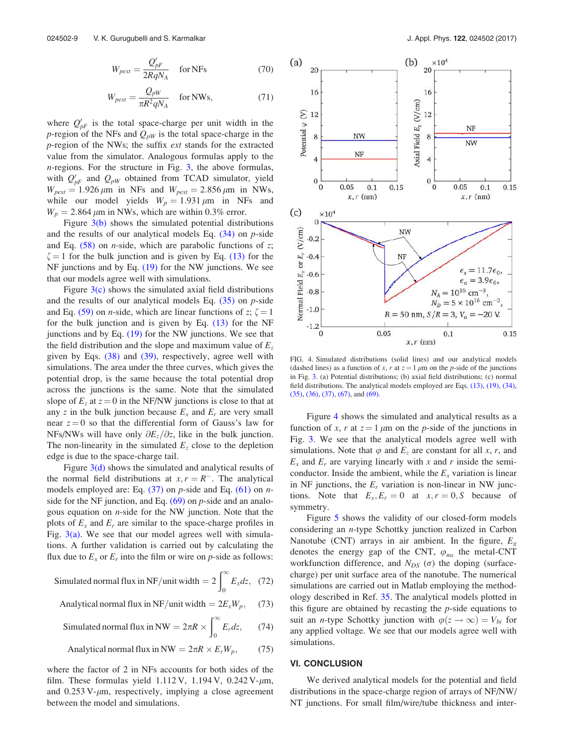$$
W_{\text{pert}} = \frac{Q_{\text{pF}}'}{2RqN_A} \quad \text{for NFs} \tag{70}
$$

$$
W_{\text{pert}} = \frac{Q_{\text{pW}}}{\pi R^2 q N_A} \quad \text{for NWs}, \tag{71}
$$

where  $Q'_{pF}$  is the total space-charge per unit width in the p-region of the NFs and  $Q_{pW}$  is the total space-charge in the p-region of the NWs; the suffix ext stands for the extracted value from the simulator. Analogous formulas apply to the  $n$ -regions. For the structure in Fig. 3, the above formulas, with  $Q'_{pF}$  and  $Q_{pW}$  obtained from TCAD simulator, yield  $W_{\text{pert}} = 1.926 \,\mu\text{m}$  in NFs and  $W_{\text{pert}} = 2.856 \,\mu\text{m}$  in NWs, while our model yields  $W_p = 1.931 \mu m$  in NFs and  $W_p = 2.864 \mu m$  in NWs, which are within 0.3% error.

Figure  $3(b)$  shows the simulated potential distributions and the results of our analytical models Eq.  $(34)$  on p-side and Eq.  $(58)$  on *n*-side, which are parabolic functions of z;  $\zeta = 1$  for the bulk junction and is given by Eq. (13) for the NF junctions and by Eq. (19) for the NW junctions. We see that our models agree well with simulations.

Figure  $3(c)$  shows the simulated axial field distributions and the results of our analytical models Eq.  $(35)$  on p-side and Eq. (59) on *n*-side, which are linear functions of z;  $\zeta = 1$ for the bulk junction and is given by Eq. (13) for the NF junctions and by Eq.  $(19)$  for the NW junctions. We see that the field distribution and the slope and maximum value of  $E_z$ given by Eqs. (38) and (39), respectively, agree well with simulations. The area under the three curves, which gives the potential drop, is the same because the total potential drop across the junctions is the same. Note that the simulated slope of  $E_z$  at  $z = 0$  in the NF/NW junctions is close to that at any z in the bulk junction because  $E_x$  and  $E_y$  are very small near  $z = 0$  so that the differential form of Gauss's law for NFs/NWs will have only  $\partial E_z/\partial z$ , like in the bulk junction. The non-linearity in the simulated  $E<sub>z</sub>$  close to the depletion edge is due to the space-charge tail.

Figure  $3(d)$  shows the simulated and analytical results of the normal field distributions at  $x, r = R^-$ . The analytical models employed are: Eq.  $(37)$  on p-side and Eq.  $(61)$  on nside for the NF junction, and Eq.  $(69)$  on p-side and an analogous equation on  $n$ -side for the NW junction. Note that the plots of  $E_x$  and  $E_y$  are similar to the space-charge profiles in Fig.  $3(a)$ . We see that our model agrees well with simulations. A further validation is carried out by calculating the flux due to  $E_x$  or  $E_r$  into the film or wire on p-side as follows:

Simulated normal flux in NF/unit width  $=2\int_{0}^{\infty}$  $E_x dz$ , (72)

Analytical normal flux in NF/unit width = 
$$
2E_xW_p
$$
, (73)

Simulated normal flux in NW = 
$$
2\pi R \times \int_0^\infty E_r dz
$$
, (74)

Analytical normal flux in NW = 
$$
2\pi R \times E_r W_p
$$
, (75)

where the factor of 2 in NFs accounts for both sides of the film. These formulas yield  $1.112$  V,  $1.194$  V,  $0.242$  V- $\mu$ m, and  $0.253$  V- $\mu$ m, respectively, implying a close agreement between the model and simulations.



FIG. 4. Simulated distributions (solid lines) and our analytical models (dashed lines) as a function of x, r at  $z = 1 \mu m$  on the p-side of the junctions in Fig. 3. (a) Potential distributions; (b) axial field distributions; (c) normal field distributions. The analytical models employed are Eqs. (13), (19), (34), (35), (36), (37), (67), and (69).

Figure 4 shows the simulated and analytical results as a function of x, r at  $z = 1 \mu m$  on the p-side of the junctions in Fig. 3. We see that the analytical models agree well with simulations. Note that  $\varphi$  and  $E_z$  are constant for all x, r, and  $E_x$  and  $E_r$  are varying linearly with x and r inside the semiconductor. Inside the ambient, while the  $E_x$  variation is linear in NF junctions, the  $E_r$  variation is non-linear in NW junctions. Note that  $E_x, E_r = 0$  at  $x, r = 0, S$  because of symmetry.

Figure 5 shows the validity of our closed-form models considering an n-type Schottky junction realized in Carbon Nanotube (CNT) arrays in air ambient. In the figure,  $E<sub>g</sub>$ denotes the energy gap of the CNT,  $\varphi_{ms}$  the metal-CNT workfunction difference, and  $N_{DS}(\sigma)$  the doping (surfacecharge) per unit surface area of the nanotube. The numerical simulations are carried out in Matlab employing the methodology described in Ref. 35. The analytical models plotted in this figure are obtained by recasting the  $p$ -side equations to suit an *n*-type Schottky junction with  $\varphi(z \to \infty) = V_{bi}$  for any applied voltage. We see that our models agree well with simulations.

#### VI. CONCLUSION

We derived analytical models for the potential and field distributions in the space-charge region of arrays of NF/NW/ NT junctions. For small film/wire/tube thickness and inter-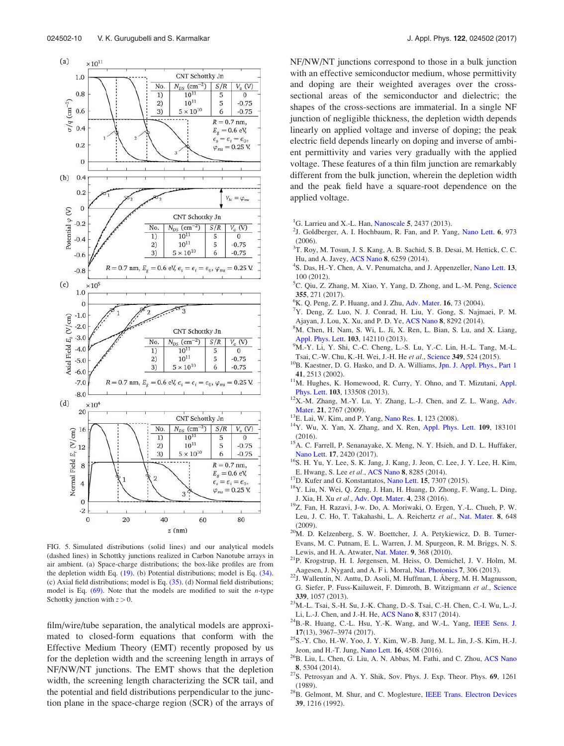

FIG. 5. Simulated distributions (solid lines) and our analytical models (dashed lines) in Schottky junctions realized in Carbon Nanotube arrays in air ambient. (a) Space-charge distributions; the box-like profiles are from the depletion width Eq. (19). (b) Potential distributions; model is Eq. (34). (c) Axial field distributions; model is Eq. (35). (d) Normal field distributions; model is Eq.  $(69)$ . Note that the models are modified to suit the *n*-type Schottky junction with  $z > 0$ .

film/wire/tube separation, the analytical models are approximated to closed-form equations that conform with the Effective Medium Theory (EMT) recently proposed by us for the depletion width and the screening length in arrays of NF/NW/NT junctions. The EMT shows that the depletion width, the screening length characterizing the SCR tail, and the potential and field distributions perpendicular to the junction plane in the space-charge region (SCR) of the arrays of

NF/NW/NT junctions correspond to those in a bulk junction with an effective semiconductor medium, whose permittivity and doping are their weighted averages over the crosssectional areas of the semiconductor and dielectric; the shapes of the cross-sections are immaterial. In a single NF junction of negligible thickness, the depletion width depends linearly on applied voltage and inverse of doping; the peak electric field depends linearly on doping and inverse of ambient permittivity and varies very gradually with the applied voltage. These features of a thin film junction are remarkably different from the bulk junction, wherein the depletion width and the peak field have a square-root dependence on the applied voltage.

- <sup>1</sup>G. Larrieu and X.-L. Han, Nanoscale 5, 2437 (2013).
- <sup>2</sup>J. Goldberger, A. I. Hochbaum, R. Fan, and P. Yang, Nano Lett. 6, 973 (2006).
- <sup>3</sup>T. Roy, M. Tosun, J. S. Kang, A. B. Sachid, S. B. Desai, M. Hettick, C. C. Hu, and A. Javey, ACS Nano 8, 6259 (2014).
- <sup>4</sup>S. Das, H.-Y. Chen, A. V. Penumatcha, and J. Appenzeller, Nano Lett. 13, 100 (2012).
- <sup>5</sup>C. Qiu, Z. Zhang, M. Xiao, Y. Yang, D. Zhong, and L.-M. Peng, Science 355, 271 (2017).
- ${}^{6}$ K. Q. Peng, Z. P. Huang, and J. Zhu, Adv. Mater. 16, 73 (2004).
- <sup>7</sup>Y. Deng, Z. Luo, N. J. Conrad, H. Liu, Y. Gong, S. Najmaei, P. M. Ajayan, J. Lou, X. Xu, and P. D. Ye, ACS Nano 8, 8292 (2014).
- <sup>8</sup>M. Chen, H. Nam, S. Wi, L. Ji, X. Ren, L. Bian, S. Lu, and X. Liang, Appl. Phys. Lett. 103, 142110 (2013).
- <sup>9</sup>M.-Y. Li, Y. Shi, C.-C. Cheng, L.-S. Lu, Y.-C. Lin, H.-L. Tang, M.-L. Tsai, C.-W. Chu, K.-H. Wei, J.-H. He et al., Science 349, 524 (2015).
- <sup>10</sup>B. Kaestner, D. G. Hasko, and D. A. Williams, Jpn. J. Appl. Phys., Part 1 41, 2513 (2002).
- <sup>11</sup>M. Hughes, K. Homewood, R. Curry, Y. Ohno, and T. Mizutani, Appl. Phys. Lett. 103, 133508 (2013).
- <sup>12</sup>X.-M. Zhang, M.-Y. Lu, Y. Zhang, L.-J. Chen, and Z. L. Wang, Adv. Mater. 21, 2767 (2009).
- <sup>13</sup>E. Lai, W. Kim, and P. Yang, Nano Res. 1, 123 (2008).
- <sup>14</sup>Y. Wu, X. Yan, X. Zhang, and X. Ren, Appl. Phys. Lett. 109, 183101 (2016).
- <sup>15</sup>A. C. Farrell, P. Senanayake, X. Meng, N. Y. Hsieh, and D. L. Huffaker, Nano Lett. 17, 2420 (2017).
- <sup>16</sup>S. H. Yu, Y. Lee, S. K. Jang, J. Kang, J. Jeon, C. Lee, J. Y. Lee, H. Kim, E. Hwang, S. Lee et al., ACS Nano 8, 8285 (2014).
- <sup>17</sup>D. Kufer and G. Konstantatos, Nano Lett. **15**, 7307 (2015).
- <sup>18</sup>Y. Liu, N. Wei, Q. Zeng, J. Han, H. Huang, D. Zhong, F. Wang, L. Ding, J. Xia, H. Xu et al., Adv. Opt. Mater. 4, 238 (2016).
- <sup>19</sup>Z. Fan, H. Razavi, J-w. Do, A. Moriwaki, O. Ergen, Y.-L. Chueh, P. W. Leu, J. C. Ho, T. Takahashi, L. A. Reichertz et al., Nat. Mater. 8, 648 (2009).
- <sup>20</sup>M. D. Kelzenberg, S. W. Boettcher, J. A. Petykiewicz, D. B. Turner-Evans, M. C. Putnam, E. L. Warren, J. M. Spurgeon, R. M. Briggs, N. S. Lewis, and H. A. Atwater, Nat. Mater. 9, 368 (2010).
- <sup>21</sup>P. Krogstrup, H. I. Jørgensen, M. Heiss, O. Demichel, J. V. Holm, M. Aagesen, J. Nygard, and A. F i. Morral, Nat. Photonics 7, 306 (2013).
- <sup>22</sup>J. Wallentin, N. Anttu, D. Asoli, M. Huffman, I. Åberg, M. H. Magnusson, G. Siefer, P. Fuss-Kailuweit, F. Dimroth, B. Witzigmann et al., Science 339, 1057 (2013).
- <sup>23</sup>M.-L. Tsai, S.-H. Su, J.-K. Chang, D.-S. Tsai, C.-H. Chen, C.-I. Wu, L.-J. Li, L.-J. Chen, and J.-H. He, ACS Nano 8, 8317 (2014).
- <sup>24</sup>B.-R. Huang, C.-L. Hsu, Y.-K. Wang, and W.-L. Yang, IEEE Sens. J. 17(13), 3967–3974 (2017).
- $^{25}$ S.-Y. Cho, H.-W. Yoo, J. Y. Kim, W.-B. Jung, M. L. Jin, J.-S. Kim, H.-J. Jeon, and H.-T. Jung, Nano Lett. 16, 4508 (2016).
- <sup>26</sup>B. Liu, L. Chen, G. Liu, A. N. Abbas, M. Fathi, and C. Zhou, ACS Nano 8, 5304 (2014).
- <sup>27</sup>S. Petrosyan and A. Y. Shik, Sov. Phys. J. Exp. Theor. Phys. 69, 1261 (1989).
- <sup>28</sup>B. Gelmont, M. Shur, and C. Moglesture, IEEE Trans. Electron Devices 39, 1216 (1992).